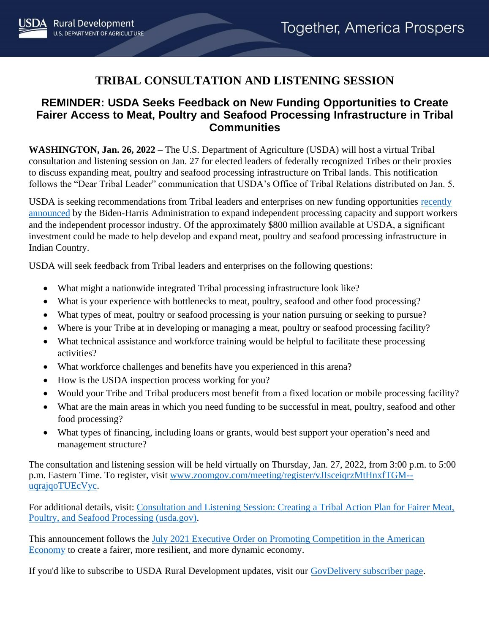## **TRIBAL CONSULTATION AND LISTENING SESSION**

## **REMINDER: USDA Seeks Feedback on New Funding Opportunities to Create Fairer Access to Meat, Poultry and Seafood Processing Infrastructure in Tribal Communities**

**WASHINGTON, Jan. 26, 2022** – The U.S. Department of Agriculture (USDA) will host a virtual Tribal consultation and listening session on Jan. 27 for elected leaders of federally recognized Tribes or their proxies to discuss expanding meat, poultry and seafood processing infrastructure on Tribal lands. This notification follows the "Dear Tribal Leader" communication that USDA's Office of Tribal Relations distributed on Jan. 5.

USDA is seeking recommendations from Tribal leaders and enterprises on new funding opportunities recently [announced](https://www.whitehouse.gov/briefing-room/statements-releases/2022/01/03/fact-sheet-the-biden-harris-action-plan-for-a-fairer-more-competitive-and-more-resilient-meat-and-poultry-supply-chain/) by the Biden-Harris Administration to expand independent processing capacity and support workers and the independent processor industry. Of the approximately \$800 million available at USDA, a significant investment could be made to help develop and expand meat, poultry and seafood processing infrastructure in Indian Country.

USDA will seek feedback from Tribal leaders and enterprises on the following questions:

- What might a nationwide integrated Tribal processing infrastructure look like?
- What is your experience with bottlenecks to meat, poultry, seafood and other food processing?
- What types of meat, poultry or seafood processing is your nation pursuing or seeking to pursue?
- Where is your Tribe at in developing or managing a meat, poultry or seafood processing facility?
- What technical assistance and workforce training would be helpful to facilitate these processing activities?
- What workforce challenges and benefits have you experienced in this arena?
- How is the USDA inspection process working for you?
- Would your Tribe and Tribal producers most benefit from a fixed location or mobile processing facility?
- What are the main areas in which you need funding to be successful in meat, poultry, seafood and other food processing?
- What types of financing, including loans or grants, would best support your operation's need and management structure?

The consultation and listening session will be held virtually on Thursday, Jan. 27, 2022, from 3:00 p.m. to 5:00 p.m. Eastern Time. To register, visit [www.zoomgov.com/meeting/register/vJIsceiqrzMtHnxfTGM-](https://gcc02.safelinks.protection.outlook.com/?url=https%3A%2F%2Fwww.zoomgov.com%2Fmeeting%2Fregister%2FvJIsceiqrzMtHnxfTGM--uqrajqoTUEcVyc&data=04%7C01%7C%7Cf1aae770c67d4c5fa7e908d9dc44dc3f%7Ced5b36e701ee4ebc867ee03cfa0d4697%7C0%7C0%7C637783010881245405%7CUnknown%7CTWFpbGZsb3d8eyJWIjoiMC4wLjAwMDAiLCJQIjoiV2luMzIiLCJBTiI6Ik1haWwiLCJXVCI6Mn0%3D%7C3000&sdata=RpOSZ4JxlT1dSK%2B%2BRy0RSlDPn2JKoDCaAeZRtIXKdU0%3D&reserved=0) [uqrajqoTUEcVyc.](https://gcc02.safelinks.protection.outlook.com/?url=https%3A%2F%2Fwww.zoomgov.com%2Fmeeting%2Fregister%2FvJIsceiqrzMtHnxfTGM--uqrajqoTUEcVyc&data=04%7C01%7C%7Cf1aae770c67d4c5fa7e908d9dc44dc3f%7Ced5b36e701ee4ebc867ee03cfa0d4697%7C0%7C0%7C637783010881245405%7CUnknown%7CTWFpbGZsb3d8eyJWIjoiMC4wLjAwMDAiLCJQIjoiV2luMzIiLCJBTiI6Ik1haWwiLCJXVCI6Mn0%3D%7C3000&sdata=RpOSZ4JxlT1dSK%2B%2BRy0RSlDPn2JKoDCaAeZRtIXKdU0%3D&reserved=0)

For additional details, visit: [Consultation and Listening Session: Creating a Tribal Action Plan for Fairer Meat,](https://www.usda.gov/sites/default/files/documents/consultation-listening-session-tribal-meat-poultry-seafood-processing.pdf)  [Poultry, and Seafood Processing \(usda.gov\).](https://www.usda.gov/sites/default/files/documents/consultation-listening-session-tribal-meat-poultry-seafood-processing.pdf)

This announcement follows the [July 2021 Executive Order on Promoting Competition in the American](https://www.whitehouse.gov/competition/)  [Economy](https://www.whitehouse.gov/competition/) to create a fairer, more resilient, and more dynamic economy.

If you'd like to subscribe to USDA Rural Development updates, visit our [GovDelivery subscriber page.](https://public.govdelivery.com/accounts/USDARD/subscriber/new?email=&commit=Sign+Up)